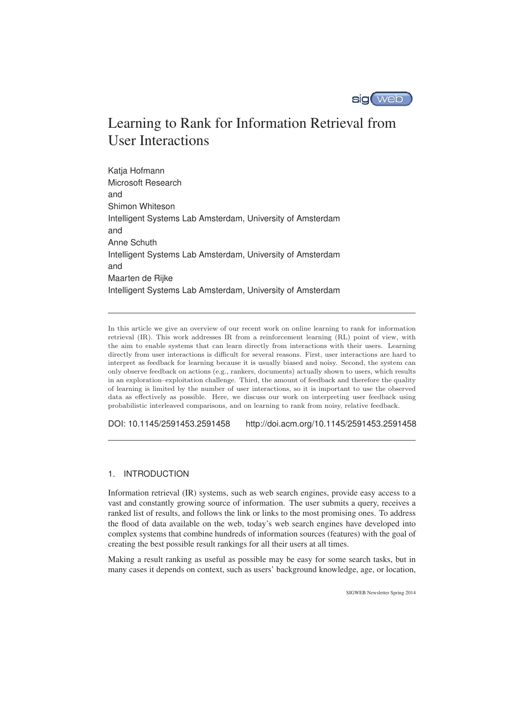

# Learning to Rank for Information Retrieval from User Interactions

Katja Hofmann Microsoft Research and Shimon Whiteson Intelligent Systems Lab Amsterdam, University of Amsterdam and Anne Schuth Intelligent Systems Lab Amsterdam, University of Amsterdam and Maarten de Rijke Intelligent Systems Lab Amsterdam, University of Amsterdam

In this article we give an overview of our recent work on online learning to rank for information retrieval (IR). This work addresses IR from a reinforcement learning (RL) point of view, with the aim to enable systems that can learn directly from interactions with their users. Learning directly from user interactions is difficult for several reasons. First, user interactions are hard to interpret as feedback for learning because it is usually biased and noisy. Second, the system can only observe feedback on actions (e.g., rankers, documents) actually shown to users, which results in an exploration–exploitation challenge. Third, the amount of feedback and therefore the quality of learning is limited by the number of user interactions, so it is important to use the observed data as effectively as possible. Here, we discuss our work on interpreting user feedback using probabilistic interleaved comparisons, and on learning to rank from noisy, relative feedback.

DOI: 10.1145/2591453.2591458 http://doi.acm.org/10.1145/2591453.2591458

# 1. INTRODUCTION

Information retrieval (IR) systems, such as web search engines, provide easy access to a vast and constantly growing source of information. The user submits a query, receives a ranked list of results, and follows the link or links to the most promising ones. To address the flood of data available on the web, today's web search engines have developed into complex systems that combine hundreds of information sources (features) with the goal of creating the best possible result rankings for all their users at all times.

Making a result ranking as useful as possible may be easy for some search tasks, but in many cases it depends on context, such as users' background knowledge, age, or location,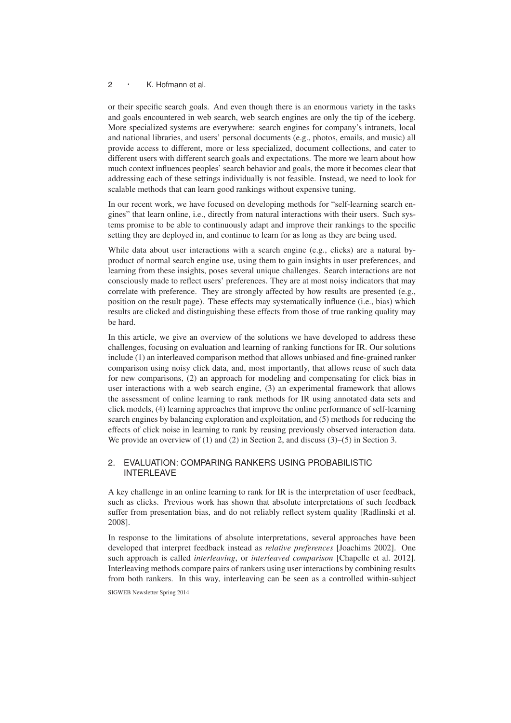## <sup>2</sup> · K. Hofmann et al.

or their specific search goals. And even though there is an enormous variety in the tasks and goals encountered in web search, web search engines are only the tip of the iceberg. More specialized systems are everywhere: search engines for company's intranets, local and national libraries, and users' personal documents (e.g., photos, emails, and music) all provide access to different, more or less specialized, document collections, and cater to different users with different search goals and expectations. The more we learn about how much context influences peoples' search behavior and goals, the more it becomes clear that addressing each of these settings individually is not feasible. Instead, we need to look for scalable methods that can learn good rankings without expensive tuning.

In our recent work, we have focused on developing methods for "self-learning search engines" that learn online, i.e., directly from natural interactions with their users. Such systems promise to be able to continuously adapt and improve their rankings to the specific setting they are deployed in, and continue to learn for as long as they are being used.

While data about user interactions with a search engine (e.g., clicks) are a natural byproduct of normal search engine use, using them to gain insights in user preferences, and learning from these insights, poses several unique challenges. Search interactions are not consciously made to reflect users' preferences. They are at most noisy indicators that may correlate with preference. They are strongly affected by how results are presented (e.g., position on the result page). These effects may systematically influence (i.e., bias) which results are clicked and distinguishing these effects from those of true ranking quality may be hard.

In this article, we give an overview of the solutions we have developed to address these challenges, focusing on evaluation and learning of ranking functions for IR. Our solutions include (1) an interleaved comparison method that allows unbiased and fine-grained ranker comparison using noisy click data, and, most importantly, that allows reuse of such data for new comparisons, (2) an approach for modeling and compensating for click bias in user interactions with a web search engine, (3) an experimental framework that allows the assessment of online learning to rank methods for IR using annotated data sets and click models, (4) learning approaches that improve the online performance of self-learning search engines by balancing exploration and exploitation, and (5) methods for reducing the effects of click noise in learning to rank by reusing previously observed interaction data. We provide an overview of (1) and (2) in Section 2, and discuss (3)–(5) in Section 3.

## 2. EVALUATION: COMPARING RANKERS USING PROBABILISTIC INTERLEAVE

A key challenge in an online learning to rank for IR is the interpretation of user feedback, such as clicks. Previous work has shown that absolute interpretations of such feedback suffer from presentation bias, and do not reliably reflect system quality [Radlinski et al. 2008].

In response to the limitations of absolute interpretations, several approaches have been developed that interpret feedback instead as *relative preferences* [Joachims 2002]. One such approach is called *interleaving*, or *interleaved comparison* [Chapelle et al. 2012]. Interleaving methods compare pairs of rankers using user interactions by combining results from both rankers. In this way, interleaving can be seen as a controlled within-subject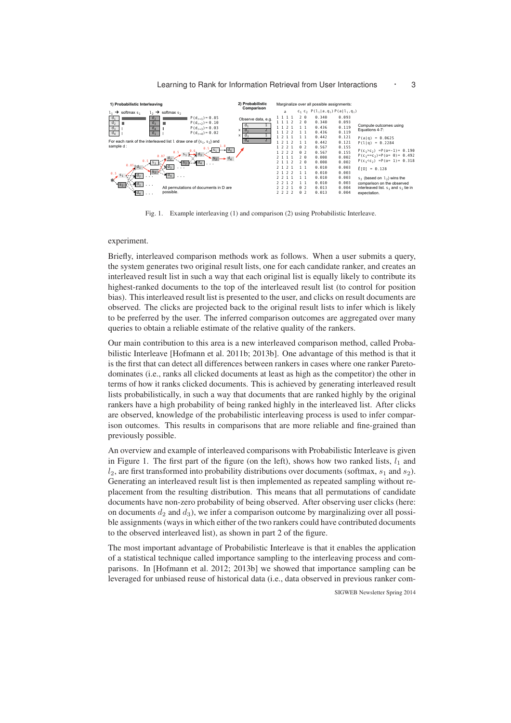

Fig. 1. Example interleaving (1) and comparison (2) using Probabilistic Interleave.

#### experiment.

Briefly, interleaved comparison methods work as follows. When a user submits a query, the system generates two original result lists, one for each candidate ranker, and creates an interleaved result list in such a way that each original list is equally likely to contribute its highest-ranked documents to the top of the interleaved result list (to control for position bias). This interleaved result list is presented to the user, and clicks on result documents are observed. The clicks are projected back to the original result lists to infer which is likely to be preferred by the user. The inferred comparison outcomes are aggregated over many queries to obtain a reliable estimate of the relative quality of the rankers.

Our main contribution to this area is a new interleaved comparison method, called Probabilistic Interleave [Hofmann et al. 2011b; 2013b]. One advantage of this method is that it is the first that can detect all differences between rankers in cases where one ranker Paretodominates (i.e., ranks all clicked documents at least as high as the competitor) the other in terms of how it ranks clicked documents. This is achieved by generating interleaved result lists probabilistically, in such a way that documents that are ranked highly by the original rankers have a high probability of being ranked highly in the interleaved list. After clicks are observed, knowledge of the probabilistic interleaving process is used to infer comparison outcomes. This results in comparisons that are more reliable and fine-grained than previously possible.

An overview and example of interleaved comparisons with Probabilistic Interleave is given in Figure 1. The first part of the figure (on the left), shows how two ranked lists,  $l_1$  and  $l_2$ , are first transformed into probability distributions over documents (softmax,  $s_1$  and  $s_2$ ). Generating an interleaved result list is then implemented as repeated sampling without replacement from the resulting distribution. This means that all permutations of candidate documents have non-zero probability of being observed. After observing user clicks (here: on documents  $d_2$  and  $d_3$ ), we infer a comparison outcome by marginalizing over all possible assignments (ways in which either of the two rankers could have contributed documents to the observed interleaved list), as shown in part 2 of the figure.

The most important advantage of Probabilistic Interleave is that it enables the application of a statistical technique called importance sampling to the interleaving process and comparisons. In [Hofmann et al. 2012; 2013b] we showed that importance sampling can be leveraged for unbiased reuse of historical data (i.e., data observed in previous ranker com-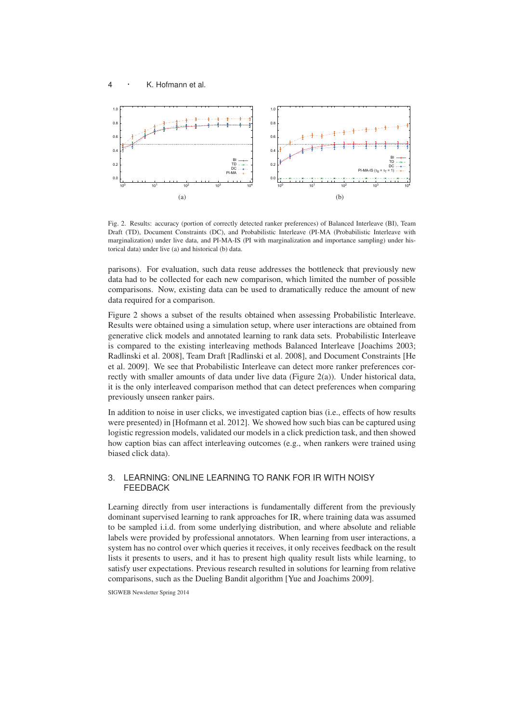

Fig. 2. Results: accuracy (portion of correctly detected ranker preferences) of Balanced Interleave (BI), Team Draft (TD), Document Constraints (DC), and Probabilistic Interleave (PI-MA (Probabilistic Interleave with marginalization) under live data, and PI-MA-IS (PI with marginalization and importance sampling) under historical data) under live (a) and historical (b) data.

parisons). For evaluation, such data reuse addresses the bottleneck that previously new data had to be collected for each new comparison, which limited the number of possible comparisons. Now, existing data can be used to dramatically reduce the amount of new data required for a comparison.

Figure 2 shows a subset of the results obtained when assessing Probabilistic Interleave. Results were obtained using a simulation setup, where user interactions are obtained from generative click models and annotated learning to rank data sets. Probabilistic Interleave is compared to the existing interleaving methods Balanced Interleave [Joachims 2003; Radlinski et al. 2008], Team Draft [Radlinski et al. 2008], and Document Constraints [He et al. 2009]. We see that Probabilistic Interleave can detect more ranker preferences correctly with smaller amounts of data under live data (Figure 2(a)). Under historical data, it is the only interleaved comparison method that can detect preferences when comparing previously unseen ranker pairs.

In addition to noise in user clicks, we investigated caption bias (i.e., effects of how results were presented) in [Hofmann et al. 2012]. We showed how such bias can be captured using logistic regression models, validated our models in a click prediction task, and then showed how caption bias can affect interleaving outcomes (e.g., when rankers were trained using biased click data).

# 3. LEARNING: ONLINE LEARNING TO RANK FOR IR WITH NOISY FEEDBACK

Learning directly from user interactions is fundamentally different from the previously dominant supervised learning to rank approaches for IR, where training data was assumed to be sampled i.i.d. from some underlying distribution, and where absolute and reliable labels were provided by professional annotators. When learning from user interactions, a system has no control over which queries it receives, it only receives feedback on the result lists it presents to users, and it has to present high quality result lists while learning, to satisfy user expectations. Previous research resulted in solutions for learning from relative comparisons, such as the Dueling Bandit algorithm [Yue and Joachims 2009].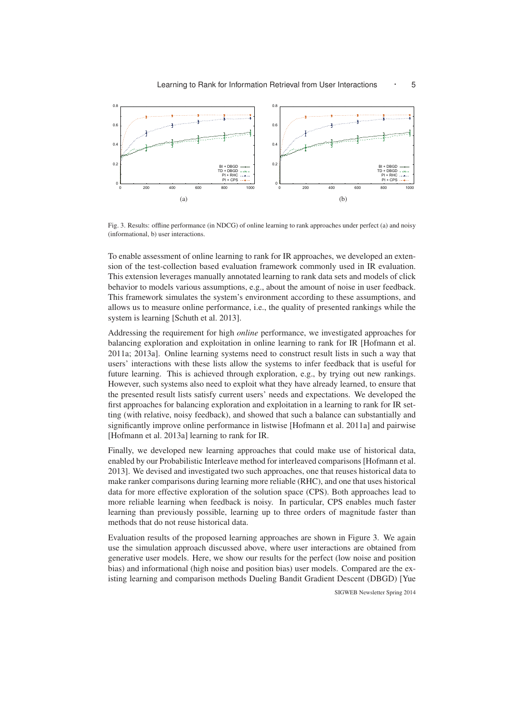

Fig. 3. Results: offline performance (in NDCG) of online learning to rank approaches under perfect (a) and noisy (informational, b) user interactions.

To enable assessment of online learning to rank for IR approaches, we developed an extension of the test-collection based evaluation framework commonly used in IR evaluation. This extension leverages manually annotated learning to rank data sets and models of click behavior to models various assumptions, e.g., about the amount of noise in user feedback. This framework simulates the system's environment according to these assumptions, and allows us to measure online performance, i.e., the quality of presented rankings while the system is learning [Schuth et al. 2013].

Addressing the requirement for high *online* performance, we investigated approaches for balancing exploration and exploitation in online learning to rank for IR [Hofmann et al. 2011a; 2013a]. Online learning systems need to construct result lists in such a way that users' interactions with these lists allow the systems to infer feedback that is useful for future learning. This is achieved through exploration, e.g., by trying out new rankings. However, such systems also need to exploit what they have already learned, to ensure that the presented result lists satisfy current users' needs and expectations. We developed the first approaches for balancing exploration and exploitation in a learning to rank for IR setting (with relative, noisy feedback), and showed that such a balance can substantially and significantly improve online performance in listwise [Hofmann et al. 2011a] and pairwise [Hofmann et al. 2013a] learning to rank for IR.

Finally, we developed new learning approaches that could make use of historical data, enabled by our Probabilistic Interleave method for interleaved comparisons [Hofmann et al. 2013]. We devised and investigated two such approaches, one that reuses historical data to make ranker comparisons during learning more reliable (RHC), and one that uses historical data for more effective exploration of the solution space (CPS). Both approaches lead to more reliable learning when feedback is noisy. In particular, CPS enables much faster learning than previously possible, learning up to three orders of magnitude faster than methods that do not reuse historical data.

Evaluation results of the proposed learning approaches are shown in Figure 3. We again use the simulation approach discussed above, where user interactions are obtained from generative user models. Here, we show our results for the perfect (low noise and position bias) and informational (high noise and position bias) user models. Compared are the existing learning and comparison methods Dueling Bandit Gradient Descent (DBGD) [Yue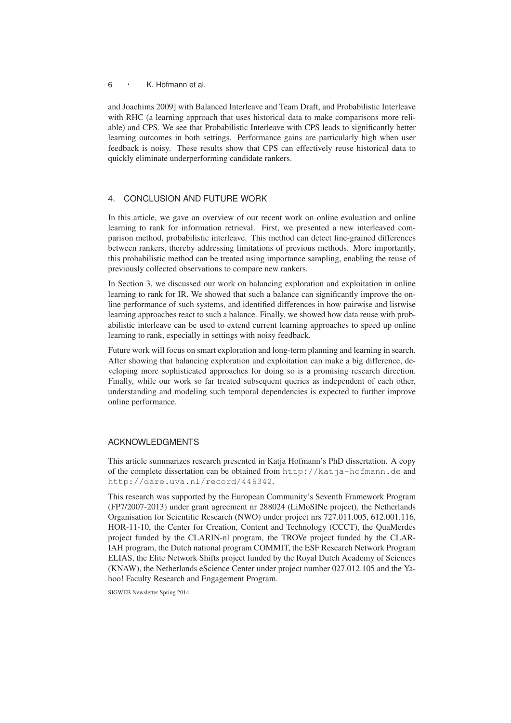## <sup>6</sup> · K. Hofmann et al.

and Joachims 2009] with Balanced Interleave and Team Draft, and Probabilistic Interleave with RHC (a learning approach that uses historical data to make comparisons more reliable) and CPS. We see that Probabilistic Interleave with CPS leads to significantly better learning outcomes in both settings. Performance gains are particularly high when user feedback is noisy. These results show that CPS can effectively reuse historical data to quickly eliminate underperforming candidate rankers.

# 4. CONCLUSION AND FUTURE WORK

In this article, we gave an overview of our recent work on online evaluation and online learning to rank for information retrieval. First, we presented a new interleaved comparison method, probabilistic interleave. This method can detect fine-grained differences between rankers, thereby addressing limitations of previous methods. More importantly, this probabilistic method can be treated using importance sampling, enabling the reuse of previously collected observations to compare new rankers.

In Section 3, we discussed our work on balancing exploration and exploitation in online learning to rank for IR. We showed that such a balance can significantly improve the online performance of such systems, and identified differences in how pairwise and listwise learning approaches react to such a balance. Finally, we showed how data reuse with probabilistic interleave can be used to extend current learning approaches to speed up online learning to rank, especially in settings with noisy feedback.

Future work will focus on smart exploration and long-term planning and learning in search. After showing that balancing exploration and exploitation can make a big difference, developing more sophisticated approaches for doing so is a promising research direction. Finally, while our work so far treated subsequent queries as independent of each other, understanding and modeling such temporal dependencies is expected to further improve online performance.

# ACKNOWLEDGMENTS

This article summarizes research presented in Katja Hofmann's PhD dissertation. A copy of the complete dissertation can be obtained from http://katja-hofmann.de and http://dare.uva.nl/record/446342.

This research was supported by the European Community's Seventh Framework Program (FP7/2007-2013) under grant agreement nr 288024 (LiMoSINe project), the Netherlands Organisation for Scientific Research (NWO) under project nrs 727.011.005, 612.001.116, HOR-11-10, the Center for Creation, Content and Technology (CCCT), the QuaMerdes project funded by the CLARIN-nl program, the TROVe project funded by the CLAR-IAH program, the Dutch national program COMMIT, the ESF Research Network Program ELIAS, the Elite Network Shifts project funded by the Royal Dutch Academy of Sciences (KNAW), the Netherlands eScience Center under project number 027.012.105 and the Yahoo! Faculty Research and Engagement Program.